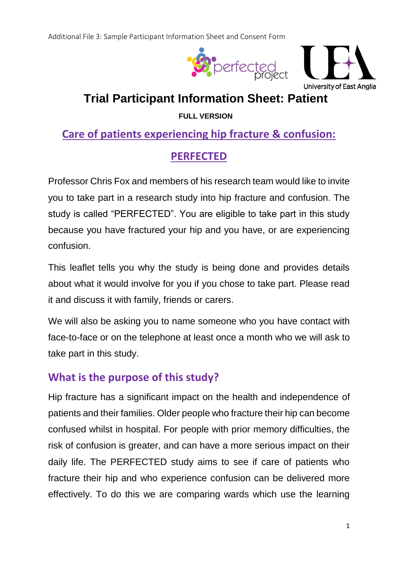



# **Trial Participant Information Sheet: Patient**

**FULL VERSION**

# **Care of patients experiencing hip fracture & confusion:**

# **PERFECTED**

Professor Chris Fox and members of his research team would like to invite you to take part in a research study into hip fracture and confusion. The study is called "PERFECTED". You are eligible to take part in this study because you have fractured your hip and you have, or are experiencing confusion.

This leaflet tells you why the study is being done and provides details about what it would involve for you if you chose to take part. Please read it and discuss it with family, friends or carers.

We will also be asking you to name someone who you have contact with face-to-face or on the telephone at least once a month who we will ask to take part in this study.

## **What is the purpose of this study?**

Hip fracture has a significant impact on the health and independence of patients and their families. Older people who fracture their hip can become confused whilst in hospital. For people with prior memory difficulties, the risk of confusion is greater, and can have a more serious impact on their daily life. The PERFECTED study aims to see if care of patients who fracture their hip and who experience confusion can be delivered more effectively. To do this we are comparing wards which use the learning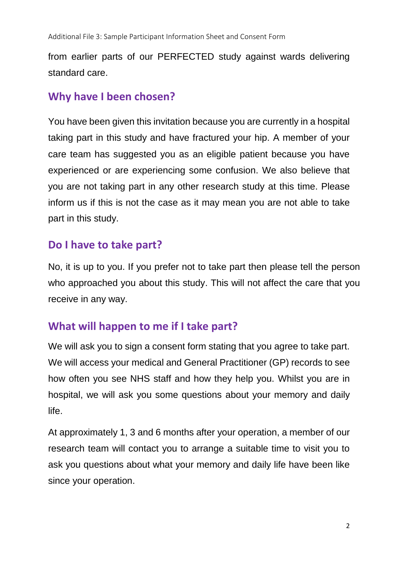from earlier parts of our PERFECTED study against wards delivering standard care.

#### **Why have I been chosen?**

You have been given this invitation because you are currently in a hospital taking part in this study and have fractured your hip. A member of your care team has suggested you as an eligible patient because you have experienced or are experiencing some confusion. We also believe that you are not taking part in any other research study at this time. Please inform us if this is not the case as it may mean you are not able to take part in this study.

#### **Do I have to take part?**

No, it is up to you. If you prefer not to take part then please tell the person who approached you about this study. This will not affect the care that you receive in any way.

## **What will happen to me if I take part?**

We will ask you to sign a consent form stating that you agree to take part. We will access your medical and General Practitioner (GP) records to see how often you see NHS staff and how they help you. Whilst you are in hospital, we will ask you some questions about your memory and daily life.

At approximately 1, 3 and 6 months after your operation, a member of our research team will contact you to arrange a suitable time to visit you to ask you questions about what your memory and daily life have been like since your operation.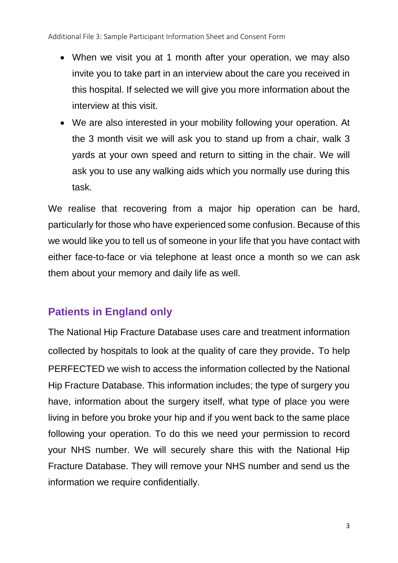Additional File 3: Sample Participant Information Sheet and Consent Form

- When we visit you at 1 month after your operation, we may also invite you to take part in an interview about the care you received in this hospital. If selected we will give you more information about the interview at this visit.
- We are also interested in your mobility following your operation. At the 3 month visit we will ask you to stand up from a chair, walk 3 yards at your own speed and return to sitting in the chair. We will ask you to use any walking aids which you normally use during this task.

We realise that recovering from a major hip operation can be hard, particularly for those who have experienced some confusion. Because of this we would like you to tell us of someone in your life that you have contact with either face-to-face or via telephone at least once a month so we can ask them about your memory and daily life as well.

## **Patients in England only**

The National Hip Fracture Database uses care and treatment information collected by hospitals to look at the quality of care they provide. To help PERFECTED we wish to access the information collected by the National Hip Fracture Database. This information includes; the type of surgery you have, information about the surgery itself, what type of place you were living in before you broke your hip and if you went back to the same place following your operation. To do this we need your permission to record your NHS number. We will securely share this with the National Hip Fracture Database. They will remove your NHS number and send us the information we require confidentially.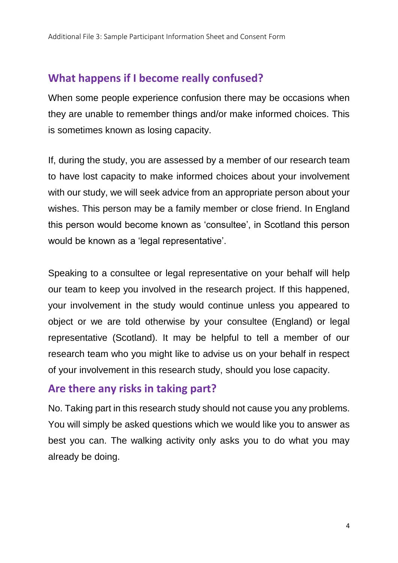## **What happens if I become really confused?**

When some people experience confusion there may be occasions when they are unable to remember things and/or make informed choices. This is sometimes known as losing capacity.

If, during the study, you are assessed by a member of our research team to have lost capacity to make informed choices about your involvement with our study, we will seek advice from an appropriate person about your wishes. This person may be a family member or close friend. In England this person would become known as 'consultee', in Scotland this person would be known as a 'legal representative'.

Speaking to a consultee or legal representative on your behalf will help our team to keep you involved in the research project. If this happened, your involvement in the study would continue unless you appeared to object or we are told otherwise by your consultee (England) or legal representative (Scotland). It may be helpful to tell a member of our research team who you might like to advise us on your behalf in respect of your involvement in this research study, should you lose capacity.

#### **Are there any risks in taking part?**

No. Taking part in this research study should not cause you any problems. You will simply be asked questions which we would like you to answer as best you can. The walking activity only asks you to do what you may already be doing.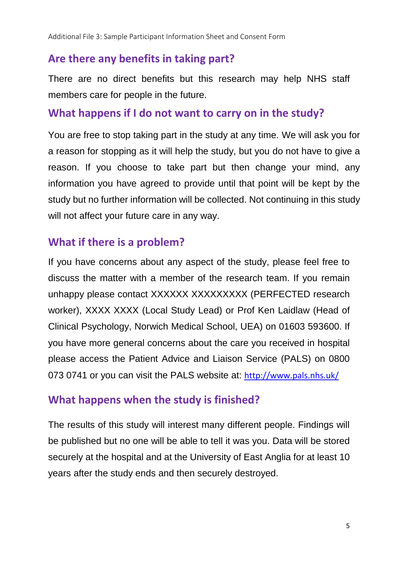## **Are there any benefits in taking part?**

There are no direct benefits but this research may help NHS staff members care for people in the future.

#### **What happens if I do not want to carry on in the study?**

You are free to stop taking part in the study at any time. We will ask you for a reason for stopping as it will help the study, but you do not have to give a reason. If you choose to take part but then change your mind, any information you have agreed to provide until that point will be kept by the study but no further information will be collected. Not continuing in this study will not affect your future care in any way.

#### **What if there is a problem?**

If you have concerns about any aspect of the study, please feel free to discuss the matter with a member of the research team. If you remain unhappy please contact XXXXXX XXXXXXXXX (PERFECTED research worker), XXXX XXXX (Local Study Lead) or Prof Ken Laidlaw (Head of Clinical Psychology, Norwich Medical School, UEA) on 01603 593600. If you have more general concerns about the care you received in hospital please access the Patient Advice and Liaison Service (PALS) on 0800 073 0741 or you can visit the PALS website at: <http://www.pals.nhs.uk/>

#### **What happens when the study is finished?**

The results of this study will interest many different people. Findings will be published but no one will be able to tell it was you. Data will be stored securely at the hospital and at the University of East Anglia for at least 10 years after the study ends and then securely destroyed.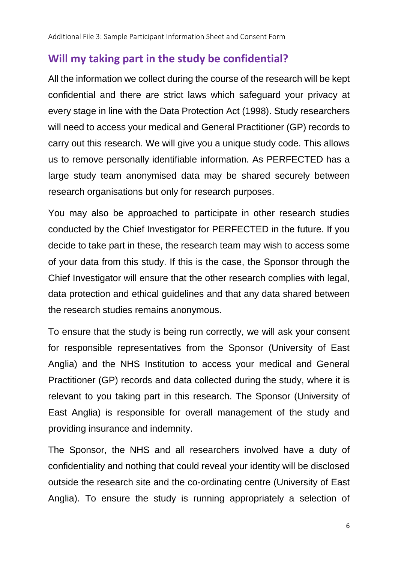## **Will my taking part in the study be confidential?**

All the information we collect during the course of the research will be kept confidential and there are strict laws which safeguard your privacy at every stage in line with the Data Protection Act (1998). Study researchers will need to access your medical and General Practitioner (GP) records to carry out this research. We will give you a unique study code. This allows us to remove personally identifiable information. As PERFECTED has a large study team anonymised data may be shared securely between research organisations but only for research purposes.

You may also be approached to participate in other research studies conducted by the Chief Investigator for PERFECTED in the future. If you decide to take part in these, the research team may wish to access some of your data from this study. If this is the case, the Sponsor through the Chief Investigator will ensure that the other research complies with legal, data protection and ethical guidelines and that any data shared between the research studies remains anonymous.

To ensure that the study is being run correctly, we will ask your consent for responsible representatives from the Sponsor (University of East Anglia) and the NHS Institution to access your medical and General Practitioner (GP) records and data collected during the study, where it is relevant to you taking part in this research. The Sponsor (University of East Anglia) is responsible for overall management of the study and providing insurance and indemnity.

The Sponsor, the NHS and all researchers involved have a duty of confidentiality and nothing that could reveal your identity will be disclosed outside the research site and the co-ordinating centre (University of East Anglia). To ensure the study is running appropriately a selection of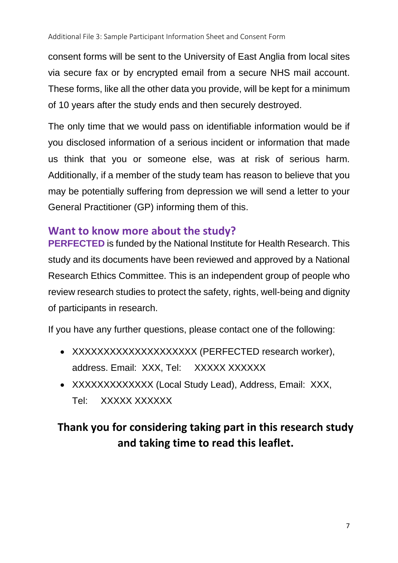consent forms will be sent to the University of East Anglia from local sites via secure fax or by encrypted email from a secure NHS mail account. These forms, like all the other data you provide, will be kept for a minimum of 10 years after the study ends and then securely destroyed.

The only time that we would pass on identifiable information would be if you disclosed information of a serious incident or information that made us think that you or someone else, was at risk of serious harm. Additionally, if a member of the study team has reason to believe that you may be potentially suffering from depression we will send a letter to your General Practitioner (GP) informing them of this.

## **Want to know more about the study?**

**PERFECTED** is funded by the National Institute for Health Research. This study and its documents have been reviewed and approved by a National Research Ethics Committee. This is an independent group of people who review research studies to protect the safety, rights, well-being and dignity of participants in research.

If you have any further questions, please contact one of the following:

- XXXXXXXXXXXXXXXXXXXX (PERFECTED research worker), address. Email: XXX, Tel: XXXXX XXXXXX
- XXXXXXXXXXXXX (Local Study Lead), Address, Email: XXX, Tel: XXXXX XXXXXX

# **Thank you for considering taking part in this research study and taking time to read this leaflet.**